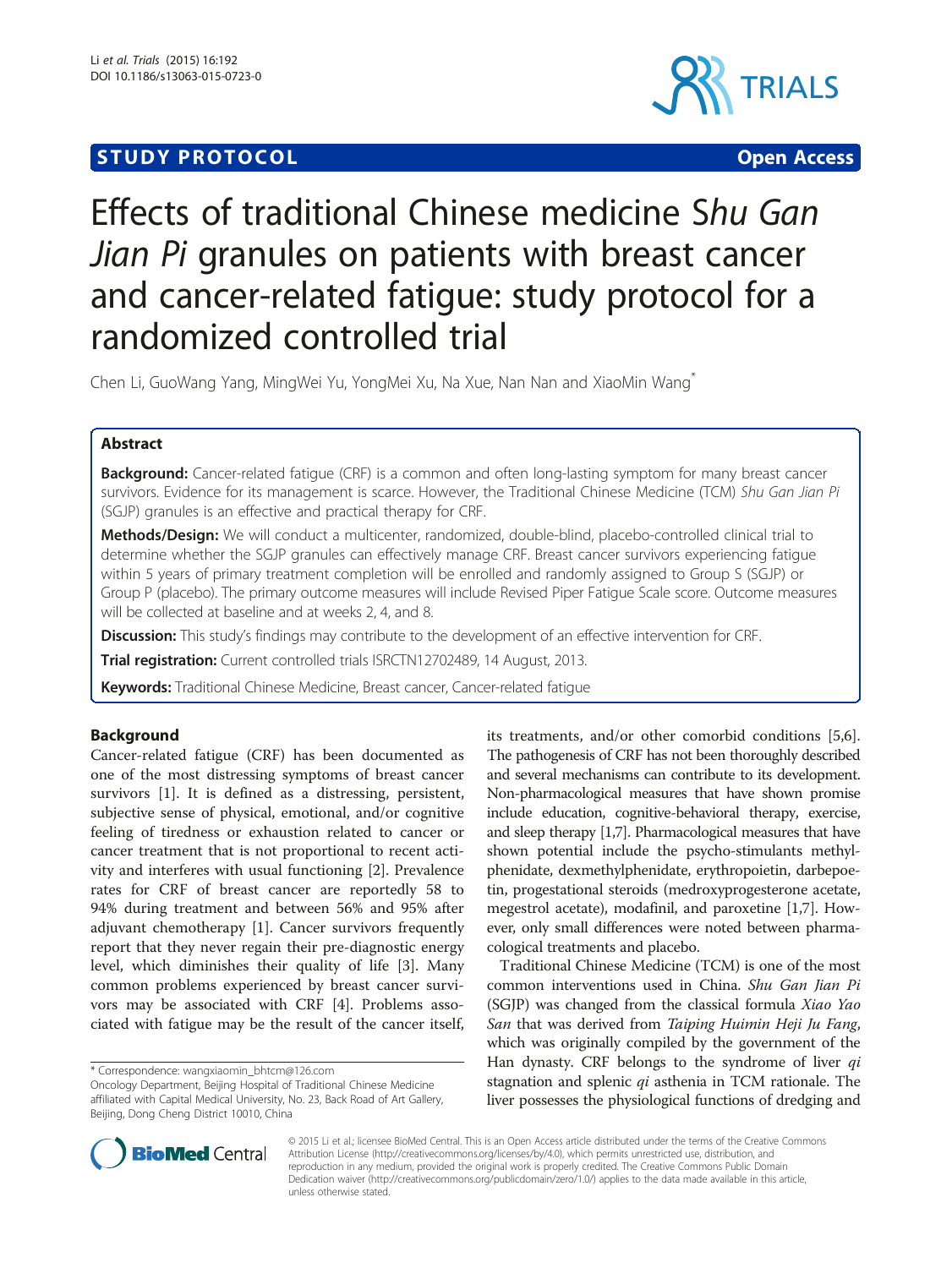# **STUDY PROTOCOL CONSUMING THE CONSUMING OPEN ACCESS**



# Effects of traditional Chinese medicine Shu Gan Jian Pi granules on patients with breast cancer and cancer-related fatigue: study protocol for a randomized controlled trial

Chen Li, GuoWang Yang, MingWei Yu, YongMei Xu, Na Xue, Nan Nan and XiaoMin Wang\*

# Abstract

Background: Cancer-related fatigue (CRF) is a common and often long-lasting symptom for many breast cancer survivors. Evidence for its management is scarce. However, the Traditional Chinese Medicine (TCM) Shu Gan Jian Pi (SGJP) granules is an effective and practical therapy for CRF.

Methods/Design: We will conduct a multicenter, randomized, double-blind, placebo-controlled clinical trial to determine whether the SGJP granules can effectively manage CRF. Breast cancer survivors experiencing fatigue within 5 years of primary treatment completion will be enrolled and randomly assigned to Group S (SGJP) or Group P (placebo). The primary outcome measures will include Revised Piper Fatigue Scale score. Outcome measures will be collected at baseline and at weeks 2, 4, and 8.

**Discussion:** This study's findings may contribute to the development of an effective intervention for CRF.

**Trial registration:** Current controlled trials [ISRCTN12702489](http://www.isrctn.com/ISRCTN12702489?q=12702489&filters=&sort=&offset=1&totalResults=1&page=1&pageSize=10&searchType=basic-search), 14 August, 2013.

**Keywords:** Traditional Chinese Medicine, Breast cancer, Cancer-related fatique

# Background

Cancer-related fatigue (CRF) has been documented as one of the most distressing symptoms of breast cancer survivors [\[1](#page-4-0)]. It is defined as a distressing, persistent, subjective sense of physical, emotional, and/or cognitive feeling of tiredness or exhaustion related to cancer or cancer treatment that is not proportional to recent activity and interferes with usual functioning [\[2](#page-4-0)]. Prevalence rates for CRF of breast cancer are reportedly 58 to 94% during treatment and between 56% and 95% after adjuvant chemotherapy [[1\]](#page-4-0). Cancer survivors frequently report that they never regain their pre-diagnostic energy level, which diminishes their quality of life [[3\]](#page-4-0). Many common problems experienced by breast cancer survivors may be associated with CRF [[4\]](#page-4-0). Problems associated with fatigue may be the result of the cancer itself,

its treatments, and/or other comorbid conditions [\[5,6](#page-4-0)]. The pathogenesis of CRF has not been thoroughly described and several mechanisms can contribute to its development. Non-pharmacological measures that have shown promise include education, cognitive-behavioral therapy, exercise, and sleep therapy [\[1,7\]](#page-4-0). Pharmacological measures that have shown potential include the psycho-stimulants methylphenidate, dexmethylphenidate, erythropoietin, darbepoetin, progestational steroids (medroxyprogesterone acetate, megestrol acetate), modafinil, and paroxetine [\[1,7](#page-4-0)]. However, only small differences were noted between pharmacological treatments and placebo.

Traditional Chinese Medicine (TCM) is one of the most common interventions used in China. Shu Gan Jian Pi (SGJP) was changed from the classical formula Xiao Yao San that was derived from Taiping Huimin Heji Ju Fang, which was originally compiled by the government of the Han dynasty. CRF belongs to the syndrome of liver  $qi$ stagnation and splenic *qi* asthenia in TCM rationale. The liver possesses the physiological functions of dredging and



© 2015 Li et al.; licensee BioMed Central. This is an Open Access article distributed under the terms of the Creative Commons Attribution License (<http://creativecommons.org/licenses/by/4.0>), which permits unrestricted use, distribution, and reproduction in any medium, provided the original work is properly credited. The Creative Commons Public Domain Dedication waiver [\(http://creativecommons.org/publicdomain/zero/1.0/](http://creativecommons.org/publicdomain/zero/1.0/)) applies to the data made available in this article, unless otherwise stated.

<sup>\*</sup> Correspondence: [wangxiaomin\\_bhtcm@126.com](mailto:wangxiaomin_bhtcm@126.com)

Oncology Department, Beijing Hospital of Traditional Chinese Medicine affiliated with Capital Medical University, No. 23, Back Road of Art Gallery, Beijing, Dong Cheng District 10010, China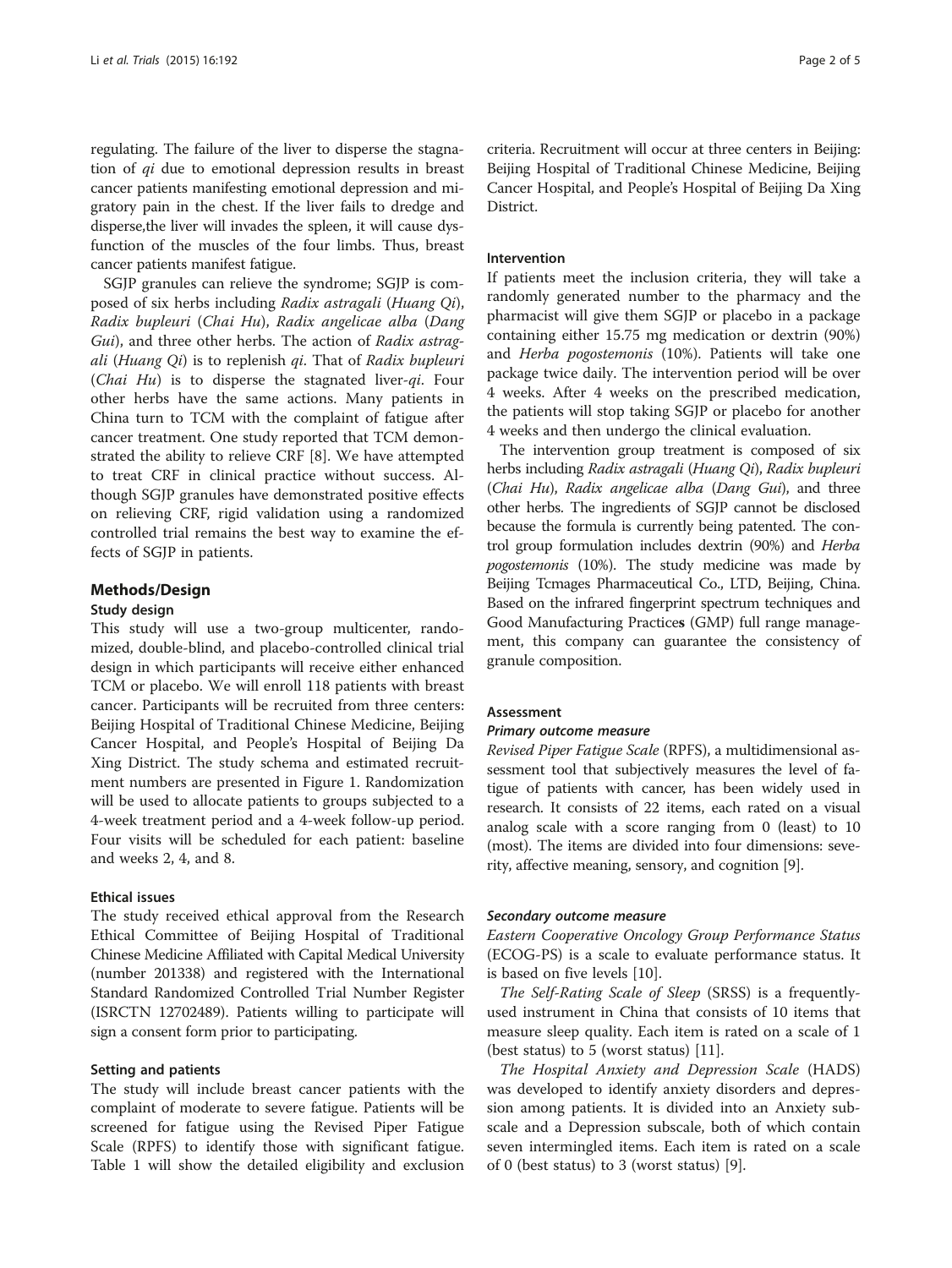regulating. The failure of the liver to disperse the stagnation of qi due to emotional depression results in breast cancer patients manifesting emotional depression and migratory pain in the chest. If the liver fails to dredge and disperse,the liver will invades the spleen, it will cause dysfunction of the muscles of the four limbs. Thus, breast cancer patients manifest fatigue.

SGJP granules can relieve the syndrome; SGJP is composed of six herbs including Radix astragali (Huang Qi), Radix bupleuri (Chai Hu), Radix angelicae alba (Dang Gui), and three other herbs. The action of Radix astragali (Huang Qi) is to replenish qi. That of Radix bupleuri  $(Chai Hu)$  is to disperse the stagnated liver-qi. Four other herbs have the same actions. Many patients in China turn to TCM with the complaint of fatigue after cancer treatment. One study reported that TCM demonstrated the ability to relieve CRF [[8\]](#page-4-0). We have attempted to treat CRF in clinical practice without success. Although SGJP granules have demonstrated positive effects on relieving CRF, rigid validation using a randomized controlled trial remains the best way to examine the effects of SGJP in patients.

#### Methods/Design

#### Study design

This study will use a two-group multicenter, randomized, double-blind, and placebo-controlled clinical trial design in which participants will receive either enhanced TCM or placebo. We will enroll 118 patients with breast cancer. Participants will be recruited from three centers: Beijing Hospital of Traditional Chinese Medicine, Beijing Cancer Hospital, and People's Hospital of Beijing Da Xing District. The study schema and estimated recruitment numbers are presented in Figure [1](#page-2-0). Randomization will be used to allocate patients to groups subjected to a 4-week treatment period and a 4-week follow-up period. Four visits will be scheduled for each patient: baseline and weeks 2, 4, and 8.

# Ethical issues

The study received ethical approval from the Research Ethical Committee of Beijing Hospital of Traditional Chinese Medicine Affiliated with Capital Medical University (number 201338) and registered with the International Standard Randomized Controlled Trial Number Register (ISRCTN 12702489). Patients willing to participate will sign a consent form prior to participating.

#### Setting and patients

The study will include breast cancer patients with the complaint of moderate to severe fatigue. Patients will be screened for fatigue using the Revised Piper Fatigue Scale (RPFS) to identify those with significant fatigue. Table [1](#page-3-0) will show the detailed eligibility and exclusion criteria. Recruitment will occur at three centers in Beijing: Beijing Hospital of Traditional Chinese Medicine, Beijing Cancer Hospital, and People's Hospital of Beijing Da Xing **District** 

#### Intervention

If patients meet the inclusion criteria, they will take a randomly generated number to the pharmacy and the pharmacist will give them SGJP or placebo in a package containing either 15.75 mg medication or dextrin (90%) and Herba pogostemonis (10%). Patients will take one package twice daily. The intervention period will be over 4 weeks. After 4 weeks on the prescribed medication, the patients will stop taking SGJP or placebo for another 4 weeks and then undergo the clinical evaluation.

The intervention group treatment is composed of six herbs including Radix astragali (Huang Qi), Radix bupleuri (Chai Hu), Radix angelicae alba (Dang Gui), and three other herbs. The ingredients of SGJP cannot be disclosed because the formula is currently being patented. The control group formulation includes dextrin (90%) and Herba pogostemonis (10%). The study medicine was made by Beijing Tcmages Pharmaceutical Co., LTD, Beijing, China. Based on the infrared fingerprint spectrum techniques and Good Manufacturing Practices (GMP) full range management, this company can guarantee the consistency of granule composition.

#### Assessment

#### Primary outcome measure

Revised Piper Fatigue Scale (RPFS), a multidimensional assessment tool that subjectively measures the level of fatigue of patients with cancer, has been widely used in research. It consists of 22 items, each rated on a visual analog scale with a score ranging from 0 (least) to 10 (most). The items are divided into four dimensions: severity, affective meaning, sensory, and cognition [\[9](#page-4-0)].

#### Secondary outcome measure

Eastern Cooperative Oncology Group Performance Status (ECOG-PS) is a scale to evaluate performance status. It is based on five levels [\[10\]](#page-4-0).

The Self-Rating Scale of Sleep (SRSS) is a frequentlyused instrument in China that consists of 10 items that measure sleep quality. Each item is rated on a scale of 1 (best status) to 5 (worst status) [\[11\]](#page-4-0).

The Hospital Anxiety and Depression Scale (HADS) was developed to identify anxiety disorders and depression among patients. It is divided into an Anxiety subscale and a Depression subscale, both of which contain seven intermingled items. Each item is rated on a scale of 0 (best status) to 3 (worst status) [[9\]](#page-4-0).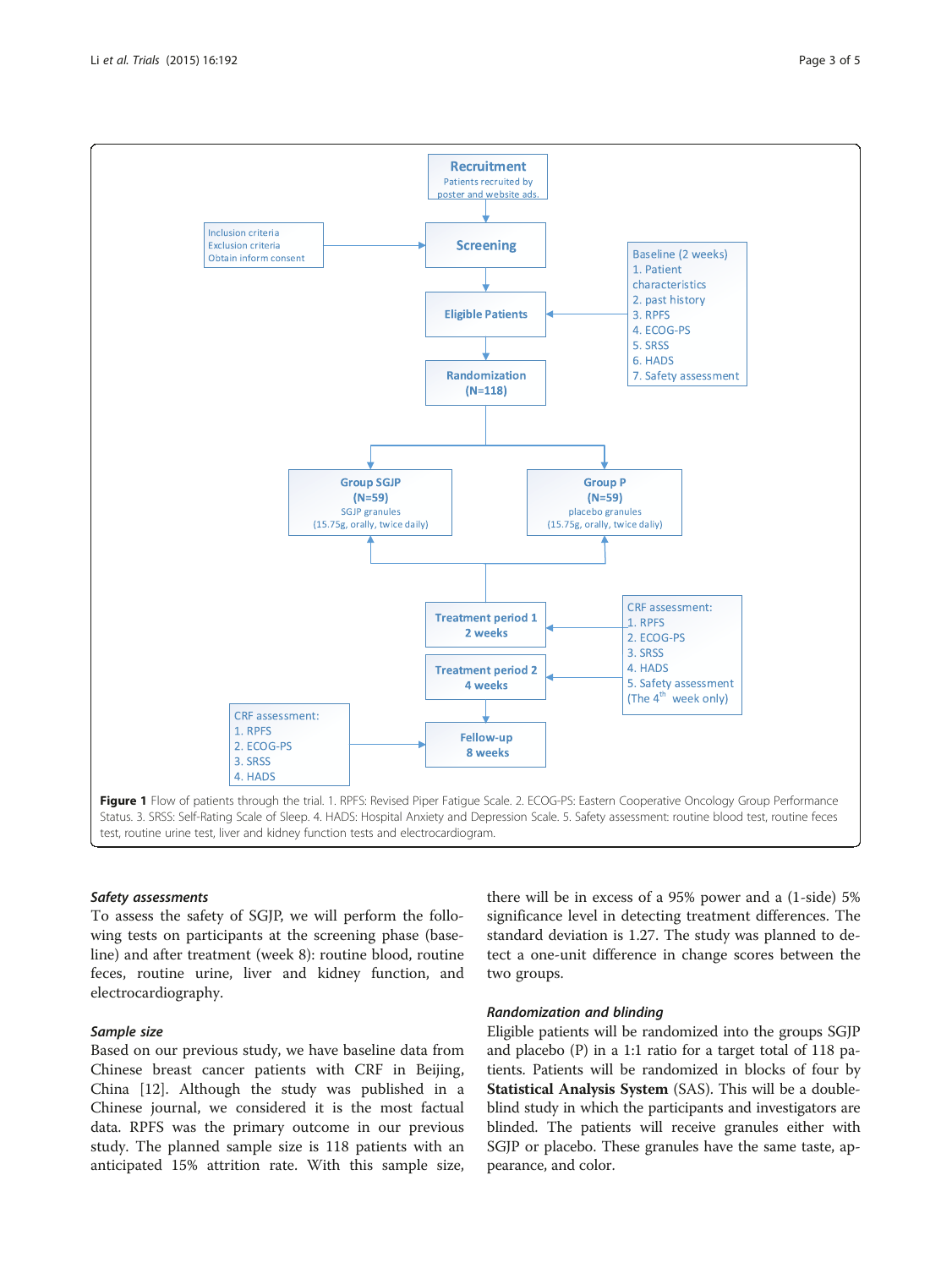<span id="page-2-0"></span>

#### Safety assessments

To assess the safety of SGJP, we will perform the following tests on participants at the screening phase (baseline) and after treatment (week 8): routine blood, routine feces, routine urine, liver and kidney function, and electrocardiography.

# Sample size

Based on our previous study, we have baseline data from Chinese breast cancer patients with CRF in Beijing, China [[12](#page-4-0)]. Although the study was published in a Chinese journal, we considered it is the most factual data. RPFS was the primary outcome in our previous study. The planned sample size is 118 patients with an anticipated 15% attrition rate. With this sample size, there will be in excess of a 95% power and a (1-side) 5% significance level in detecting treatment differences. The standard deviation is 1.27. The study was planned to detect a one-unit difference in change scores between the two groups.

## Randomization and blinding

Eligible patients will be randomized into the groups SGJP and placebo (P) in a 1:1 ratio for a target total of 118 patients. Patients will be randomized in blocks of four by Statistical Analysis System (SAS). This will be a doubleblind study in which the participants and investigators are blinded. The patients will receive granules either with SGJP or placebo. These granules have the same taste, appearance, and color.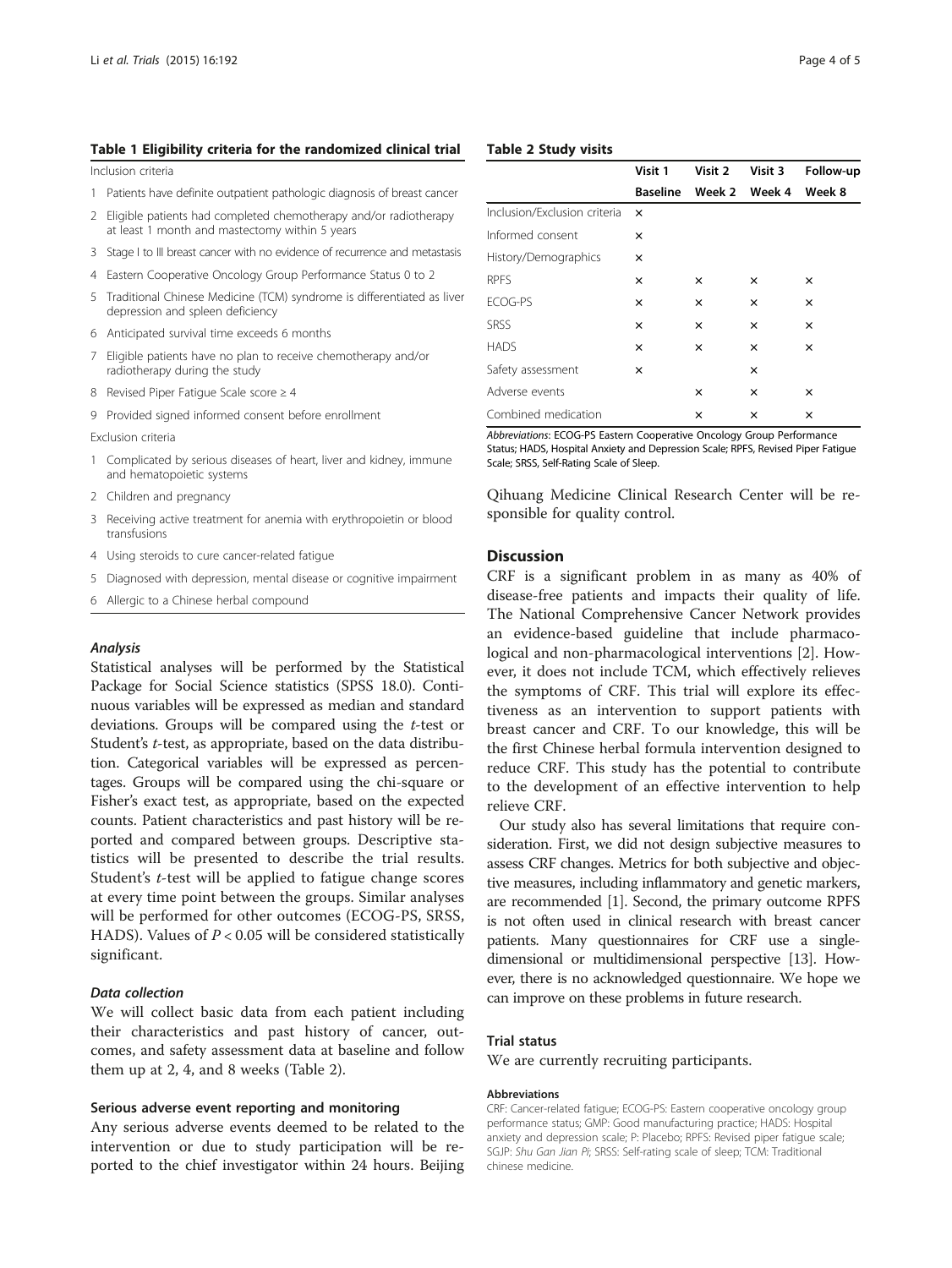#### <span id="page-3-0"></span>Table 1 Eligibility criteria for the randomized clinical trial

Inclusion criteria

- 1 Patients have definite outpatient pathologic diagnosis of breast cancer
- 2 Eligible patients had completed chemotherapy and/or radiotherapy at least 1 month and mastectomy within 5 years
- 3 Stage I to III breast cancer with no evidence of recurrence and metastasis
- 4 Eastern Cooperative Oncology Group Performance Status 0 to 2
- 5 Traditional Chinese Medicine (TCM) syndrome is differentiated as liver depression and spleen deficiency
- 6 Anticipated survival time exceeds 6 months
- 7 Eligible patients have no plan to receive chemotherapy and/or radiotherapy during the study
- 8 Revised Piper Fatigue Scale score ≥ 4
- 9 Provided signed informed consent before enrollment

Exclusion criteria

- 1 Complicated by serious diseases of heart, liver and kidney, immune and hematopoietic systems
- 2 Children and pregnancy
- 3 Receiving active treatment for anemia with erythropoietin or blood transfusions
- 4 Using steroids to cure cancer-related fatigue
- 5 Diagnosed with depression, mental disease or cognitive impairment

6 Allergic to a Chinese herbal compound

#### Analysis

Statistical analyses will be performed by the Statistical Package for Social Science statistics (SPSS 18.0). Continuous variables will be expressed as median and standard deviations. Groups will be compared using the t-test or Student's *t*-test, as appropriate, based on the data distribution. Categorical variables will be expressed as percentages. Groups will be compared using the chi-square or Fisher's exact test, as appropriate, based on the expected counts. Patient characteristics and past history will be reported and compared between groups. Descriptive statistics will be presented to describe the trial results. Student's t-test will be applied to fatigue change scores at every time point between the groups. Similar analyses will be performed for other outcomes (ECOG-PS, SRSS, HADS). Values of  $P < 0.05$  will be considered statistically significant.

#### Data collection

We will collect basic data from each patient including their characteristics and past history of cancer, outcomes, and safety assessment data at baseline and follow them up at 2, 4, and 8 weeks (Table 2).

#### Serious adverse event reporting and monitoring

Any serious adverse events deemed to be related to the intervention or due to study participation will be reported to the chief investigator within 24 hours. Beijing

|  |  |  |  | Table 2 Study visits |
|--|--|--|--|----------------------|
|--|--|--|--|----------------------|

|                              | Visit 1  | Visit 2                | Visit 3 | Follow-up |
|------------------------------|----------|------------------------|---------|-----------|
|                              |          | Baseline Week 2 Week 4 |         | Week 8    |
| Inclusion/Exclusion criteria | $\times$ |                        |         |           |
| Informed consent             | ×        |                        |         |           |
| History/Demographics         | ×        |                        |         |           |
| <b>RPFS</b>                  | ×        | ×                      | ×       | ×         |
| ECOG-PS                      | ×        | ×                      | ×       | ×         |
| <b>SRSS</b>                  | ×        | ×                      | ×       | ×         |
| <b>HADS</b>                  | ×        | ×                      | ×       | ×         |
| Safety assessment            | ×        |                        | ×       |           |
| Adverse events               |          | ×                      | ×       | ×         |
| Combined medication          |          | ×                      | ×       | ×         |

Abbreviations: ECOG-PS Eastern Cooperative Oncology Group Performance Status; HADS, Hospital Anxiety and Depression Scale; RPFS, Revised Piper Fatigue Scale; SRSS, Self-Rating Scale of Sleep.

Qihuang Medicine Clinical Research Center will be responsible for quality control.

## **Discussion**

CRF is a significant problem in as many as 40% of disease-free patients and impacts their quality of life. The National Comprehensive Cancer Network provides an evidence-based guideline that include pharmacological and non-pharmacological interventions [\[2](#page-4-0)]. However, it does not include TCM, which effectively relieves the symptoms of CRF. This trial will explore its effectiveness as an intervention to support patients with breast cancer and CRF. To our knowledge, this will be the first Chinese herbal formula intervention designed to reduce CRF. This study has the potential to contribute to the development of an effective intervention to help relieve CRF.

Our study also has several limitations that require consideration. First, we did not design subjective measures to assess CRF changes. Metrics for both subjective and objective measures, including inflammatory and genetic markers, are recommended [\[1\]](#page-4-0). Second, the primary outcome RPFS is not often used in clinical research with breast cancer patients. Many questionnaires for CRF use a singledimensional or multidimensional perspective [\[13\]](#page-4-0). However, there is no acknowledged questionnaire. We hope we can improve on these problems in future research.

#### Trial status

We are currently recruiting participants.

#### Abbreviations

CRF: Cancer-related fatigue; ECOG-PS: Eastern cooperative oncology group performance status; GMP: Good manufacturing practice; HADS: Hospital anxiety and depression scale; P: Placebo; RPFS: Revised piper fatigue scale; SGJP: Shu Gan Jian Pi; SRSS: Self-rating scale of sleep; TCM: Traditional chinese medicine.